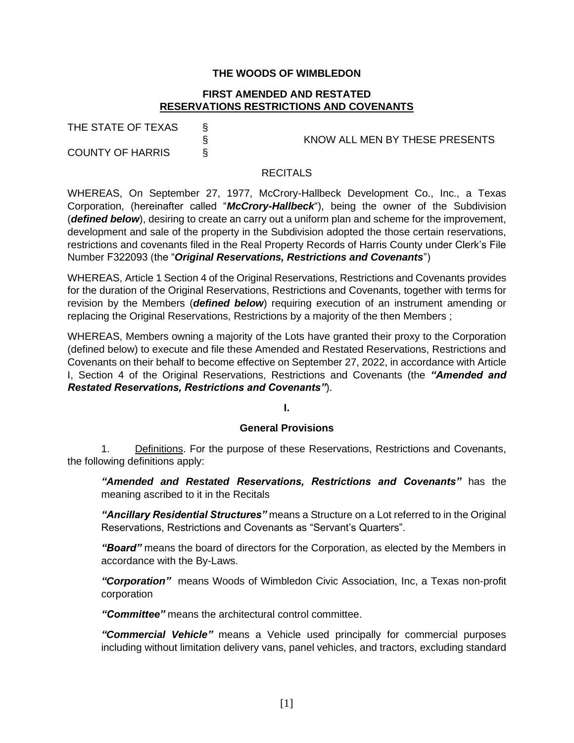# **THE WOODS OF WIMBLEDON**

# **FIRST AMENDED AND RESTATED RESERVATIONS RESTRICTIONS AND COVENANTS**

| THE STATE OF TEXAS      |    |
|-------------------------|----|
|                         | Ş. |
| <b>COUNTY OF HARRIS</b> |    |

§ KNOW ALL MEN BY THESE PRESENTS

### **RECITALS**

WHEREAS, On September 27, 1977, McCrory-Hallbeck Development Co., Inc., a Texas Corporation, (hereinafter called "*McCrory-Hallbeck*"), being the owner of the Subdivision (*defined below*), desiring to create an carry out a uniform plan and scheme for the improvement, development and sale of the property in the Subdivision adopted the those certain reservations, restrictions and covenants filed in the Real Property Records of Harris County under Clerk's File Number F322093 (the "*Original Reservations, Restrictions and Covenants*")

WHEREAS, Article 1 Section 4 of the Original Reservations, Restrictions and Covenants provides for the duration of the Original Reservations, Restrictions and Covenants, together with terms for revision by the Members (*defined below*) requiring execution of an instrument amending or replacing the Original Reservations, Restrictions by a majority of the then Members ;

WHEREAS, Members owning a majority of the Lots have granted their proxy to the Corporation (defined below) to execute and file these Amended and Restated Reservations, Restrictions and Covenants on their behalf to become effective on September 27, 2022, in accordance with Article I, Section 4 of the Original Reservations, Restrictions and Covenants (the *"Amended and Restated Reservations, Restrictions and Covenants"*).

**I.**

### **General Provisions**

1. Definitions. For the purpose of these Reservations, Restrictions and Covenants, the following definitions apply:

*"Amended and Restated Reservations, Restrictions and Covenants"* has the meaning ascribed to it in the Recitals

*"Ancillary Residential Structures"* means a Structure on a Lot referred to in the Original Reservations, Restrictions and Covenants as "Servant's Quarters".

*"Board"* means the board of directors for the Corporation, as elected by the Members in accordance with the By-Laws.

*"Corporation"* means Woods of Wimbledon Civic Association, Inc, a Texas non-profit corporation

*"Committee"* means the architectural control committee.

*"Commercial Vehicle"* means a Vehicle used principally for commercial purposes including without limitation delivery vans, panel vehicles, and tractors, excluding standard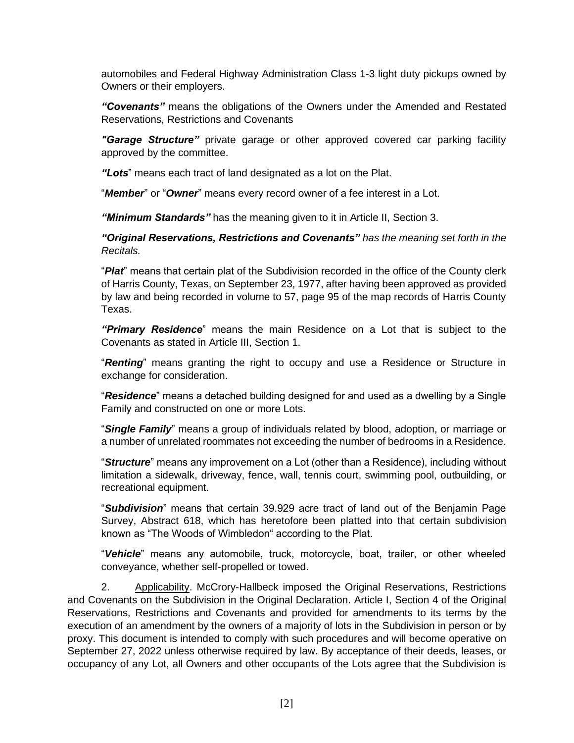automobiles and Federal Highway Administration Class 1-3 light duty pickups owned by Owners or their employers.

*"Covenants"* means the obligations of the Owners under the Amended and Restated Reservations, Restrictions and Covenants

*"Garage Structure"* private garage or other approved covered car parking facility approved by the committee.

*"Lots*" means each tract of land designated as a lot on the Plat.

"*Member*" or "*Owner*" means every record owner of a fee interest in a Lot.

*"Minimum Standards"* has the meaning given to it in Article II, Section 3.

*"Original Reservations, Restrictions and Covenants" has the meaning set forth in the Recitals.*

"*Plat*" means that certain plat of the Subdivision recorded in the office of the County clerk of Harris County, Texas, on September 23, 1977, after having been approved as provided by law and being recorded in volume to 57, page 95 of the map records of Harris County Texas.

*"Primary Residence*" means the main Residence on a Lot that is subject to the Covenants as stated in Article III, Section 1.

"*Renting*" means granting the right to occupy and use a Residence or Structure in exchange for consideration.

"*Residence*" means a detached building designed for and used as a dwelling by a Single Family and constructed on one or more Lots.

"*Single Family*" means a group of individuals related by blood, adoption, or marriage or a number of unrelated roommates not exceeding the number of bedrooms in a Residence.

"*Structure*" means any improvement on a Lot (other than a Residence), including without limitation a sidewalk, driveway, fence, wall, tennis court, swimming pool, outbuilding, or recreational equipment.

"*Subdivision*" means that certain 39.929 acre tract of land out of the Benjamin Page Survey, Abstract 618, which has heretofore been platted into that certain subdivision known as "The Woods of Wimbledon" according to the Plat.

"*Vehicle*" means any automobile, truck, motorcycle, boat, trailer, or other wheeled conveyance, whether self-propelled or towed.

2. Applicability. McCrory-Hallbeck imposed the Original Reservations, Restrictions and Covenants on the Subdivision in the Original Declaration. Article I, Section 4 of the Original Reservations, Restrictions and Covenants and provided for amendments to its terms by the execution of an amendment by the owners of a majority of lots in the Subdivision in person or by proxy. This document is intended to comply with such procedures and will become operative on September 27, 2022 unless otherwise required by law. By acceptance of their deeds, leases, or occupancy of any Lot, all Owners and other occupants of the Lots agree that the Subdivision is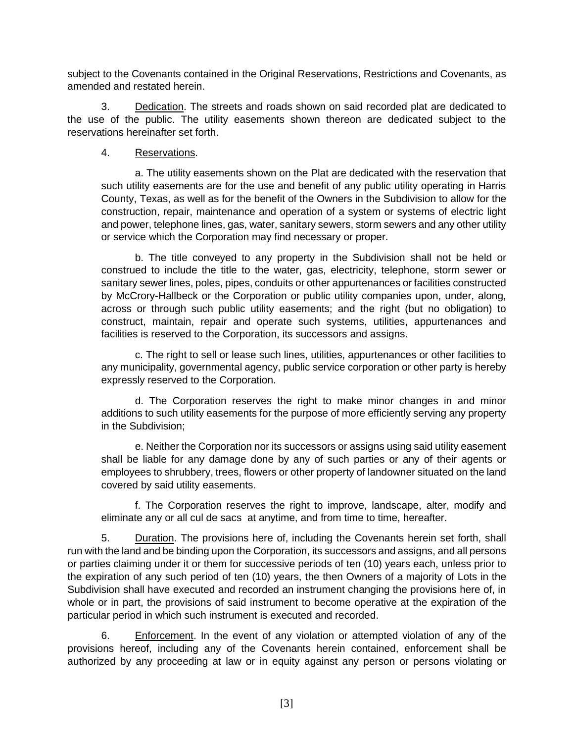subject to the Covenants contained in the Original Reservations, Restrictions and Covenants, as amended and restated herein.

3. Dedication. The streets and roads shown on said recorded plat are dedicated to the use of the public. The utility easements shown thereon are dedicated subject to the reservations hereinafter set forth.

# 4. Reservations.

a. The utility easements shown on the Plat are dedicated with the reservation that such utility easements are for the use and benefit of any public utility operating in Harris County, Texas, as well as for the benefit of the Owners in the Subdivision to allow for the construction, repair, maintenance and operation of a system or systems of electric light and power, telephone lines, gas, water, sanitary sewers, storm sewers and any other utility or service which the Corporation may find necessary or proper.

b. The title conveyed to any property in the Subdivision shall not be held or construed to include the title to the water, gas, electricity, telephone, storm sewer or sanitary sewer lines, poles, pipes, conduits or other appurtenances or facilities constructed by McCrory-Hallbeck or the Corporation or public utility companies upon, under, along, across or through such public utility easements; and the right (but no obligation) to construct, maintain, repair and operate such systems, utilities, appurtenances and facilities is reserved to the Corporation, its successors and assigns.

c. The right to sell or lease such lines, utilities, appurtenances or other facilities to any municipality, governmental agency, public service corporation or other party is hereby expressly reserved to the Corporation.

d. The Corporation reserves the right to make minor changes in and minor additions to such utility easements for the purpose of more efficiently serving any property in the Subdivision;

e. Neither the Corporation nor its successors or assigns using said utility easement shall be liable for any damage done by any of such parties or any of their agents or employees to shrubbery, trees, flowers or other property of landowner situated on the land covered by said utility easements.

f. The Corporation reserves the right to improve, landscape, alter, modify and eliminate any or all cul de sacs at anytime, and from time to time, hereafter.

5. Duration. The provisions here of, including the Covenants herein set forth, shall run with the land and be binding upon the Corporation, its successors and assigns, and all persons or parties claiming under it or them for successive periods of ten (10) years each, unless prior to the expiration of any such period of ten (10) years, the then Owners of a majority of Lots in the Subdivision shall have executed and recorded an instrument changing the provisions here of, in whole or in part, the provisions of said instrument to become operative at the expiration of the particular period in which such instrument is executed and recorded.

6. Enforcement. In the event of any violation or attempted violation of any of the provisions hereof, including any of the Covenants herein contained, enforcement shall be authorized by any proceeding at law or in equity against any person or persons violating or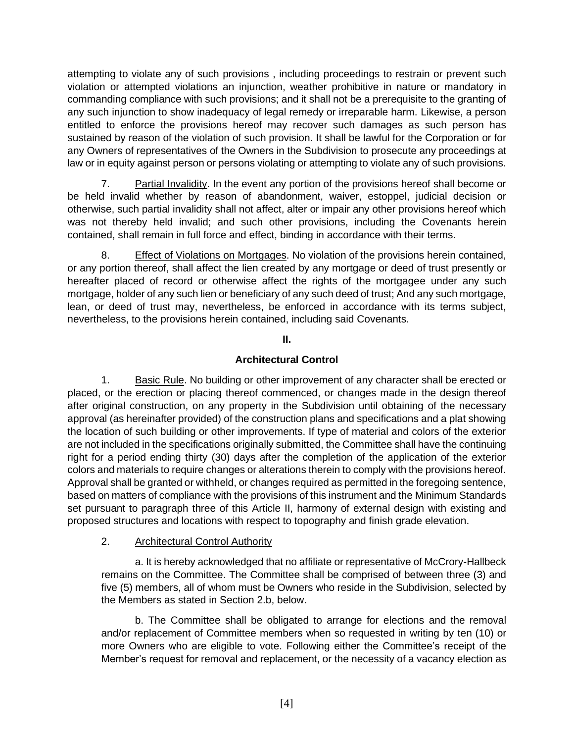attempting to violate any of such provisions , including proceedings to restrain or prevent such violation or attempted violations an injunction, weather prohibitive in nature or mandatory in commanding compliance with such provisions; and it shall not be a prerequisite to the granting of any such injunction to show inadequacy of legal remedy or irreparable harm. Likewise, a person entitled to enforce the provisions hereof may recover such damages as such person has sustained by reason of the violation of such provision. It shall be lawful for the Corporation or for any Owners of representatives of the Owners in the Subdivision to prosecute any proceedings at law or in equity against person or persons violating or attempting to violate any of such provisions.

7. Partial Invalidity. In the event any portion of the provisions hereof shall become or be held invalid whether by reason of abandonment, waiver, estoppel, judicial decision or otherwise, such partial invalidity shall not affect, alter or impair any other provisions hereof which was not thereby held invalid; and such other provisions, including the Covenants herein contained, shall remain in full force and effect, binding in accordance with their terms.

8. Effect of Violations on Mortgages. No violation of the provisions herein contained, or any portion thereof, shall affect the lien created by any mortgage or deed of trust presently or hereafter placed of record or otherwise affect the rights of the mortgagee under any such mortgage, holder of any such lien or beneficiary of any such deed of trust; And any such mortgage, lean, or deed of trust may, nevertheless, be enforced in accordance with its terms subject, nevertheless, to the provisions herein contained, including said Covenants.

**II.**

# **Architectural Control**

1. Basic Rule. No building or other improvement of any character shall be erected or placed, or the erection or placing thereof commenced, or changes made in the design thereof after original construction, on any property in the Subdivision until obtaining of the necessary approval (as hereinafter provided) of the construction plans and specifications and a plat showing the location of such building or other improvements. If type of material and colors of the exterior are not included in the specifications originally submitted, the Committee shall have the continuing right for a period ending thirty (30) days after the completion of the application of the exterior colors and materials to require changes or alterations therein to comply with the provisions hereof. Approval shall be granted or withheld, or changes required as permitted in the foregoing sentence, based on matters of compliance with the provisions of this instrument and the Minimum Standards set pursuant to paragraph three of this Article II, harmony of external design with existing and proposed structures and locations with respect to topography and finish grade elevation.

# 2. Architectural Control Authority

a. It is hereby acknowledged that no affiliate or representative of McCrory-Hallbeck remains on the Committee. The Committee shall be comprised of between three (3) and five (5) members, all of whom must be Owners who reside in the Subdivision, selected by the Members as stated in Section 2.b, below.

b. The Committee shall be obligated to arrange for elections and the removal and/or replacement of Committee members when so requested in writing by ten (10) or more Owners who are eligible to vote. Following either the Committee's receipt of the Member's request for removal and replacement, or the necessity of a vacancy election as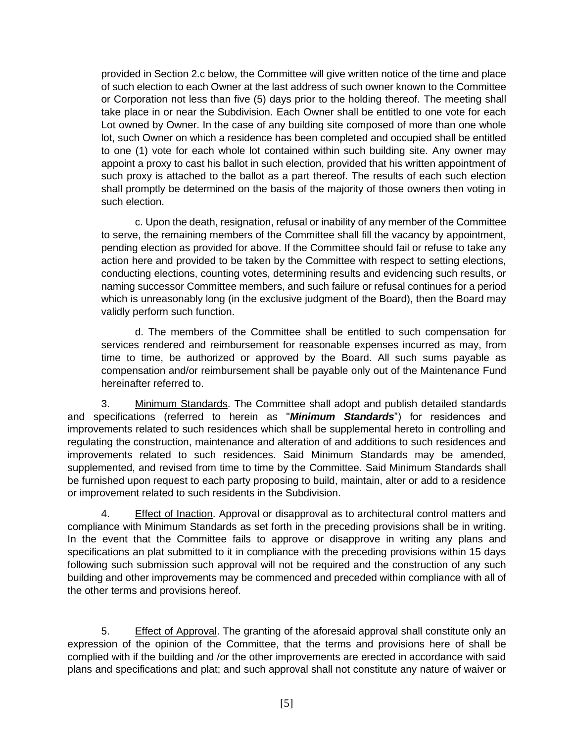provided in Section 2.c below, the Committee will give written notice of the time and place of such election to each Owner at the last address of such owner known to the Committee or Corporation not less than five (5) days prior to the holding thereof. The meeting shall take place in or near the Subdivision. Each Owner shall be entitled to one vote for each Lot owned by Owner. In the case of any building site composed of more than one whole lot, such Owner on which a residence has been completed and occupied shall be entitled to one (1) vote for each whole lot contained within such building site. Any owner may appoint a proxy to cast his ballot in such election, provided that his written appointment of such proxy is attached to the ballot as a part thereof. The results of each such election shall promptly be determined on the basis of the majority of those owners then voting in such election.

c. Upon the death, resignation, refusal or inability of any member of the Committee to serve, the remaining members of the Committee shall fill the vacancy by appointment, pending election as provided for above. If the Committee should fail or refuse to take any action here and provided to be taken by the Committee with respect to setting elections, conducting elections, counting votes, determining results and evidencing such results, or naming successor Committee members, and such failure or refusal continues for a period which is unreasonably long (in the exclusive judgment of the Board), then the Board may validly perform such function.

d. The members of the Committee shall be entitled to such compensation for services rendered and reimbursement for reasonable expenses incurred as may, from time to time, be authorized or approved by the Board. All such sums payable as compensation and/or reimbursement shall be payable only out of the Maintenance Fund hereinafter referred to.

3. Minimum Standards. The Committee shall adopt and publish detailed standards and specifications (referred to herein as "*Minimum Standards*") for residences and improvements related to such residences which shall be supplemental hereto in controlling and regulating the construction, maintenance and alteration of and additions to such residences and improvements related to such residences. Said Minimum Standards may be amended, supplemented, and revised from time to time by the Committee. Said Minimum Standards shall be furnished upon request to each party proposing to build, maintain, alter or add to a residence or improvement related to such residents in the Subdivision.

4. Effect of Inaction. Approval or disapproval as to architectural control matters and compliance with Minimum Standards as set forth in the preceding provisions shall be in writing. In the event that the Committee fails to approve or disapprove in writing any plans and specifications an plat submitted to it in compliance with the preceding provisions within 15 days following such submission such approval will not be required and the construction of any such building and other improvements may be commenced and preceded within compliance with all of the other terms and provisions hereof.

5. Effect of Approval. The granting of the aforesaid approval shall constitute only an expression of the opinion of the Committee, that the terms and provisions here of shall be complied with if the building and /or the other improvements are erected in accordance with said plans and specifications and plat; and such approval shall not constitute any nature of waiver or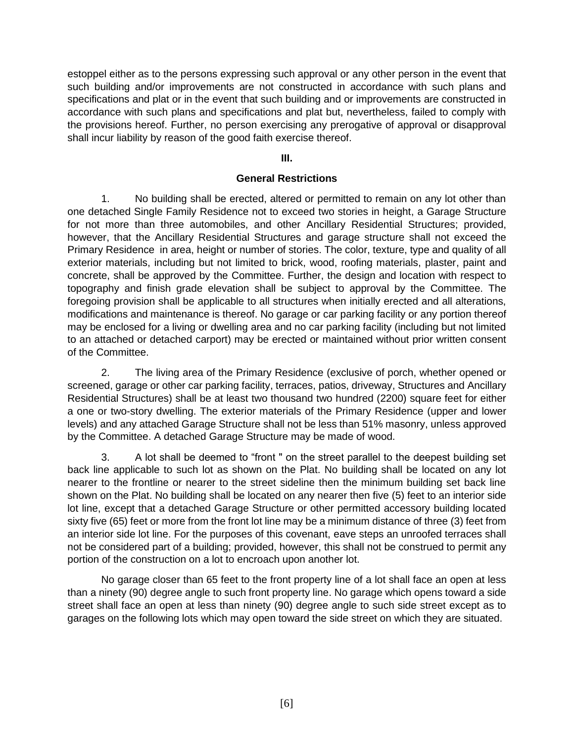estoppel either as to the persons expressing such approval or any other person in the event that such building and/or improvements are not constructed in accordance with such plans and specifications and plat or in the event that such building and or improvements are constructed in accordance with such plans and specifications and plat but, nevertheless, failed to comply with the provisions hereof. Further, no person exercising any prerogative of approval or disapproval shall incur liability by reason of the good faith exercise thereof.

### **III.**

### **General Restrictions**

1. No building shall be erected, altered or permitted to remain on any lot other than one detached Single Family Residence not to exceed two stories in height, a Garage Structure for not more than three automobiles, and other Ancillary Residential Structures; provided, however, that the Ancillary Residential Structures and garage structure shall not exceed the Primary Residence in area, height or number of stories. The color, texture, type and quality of all exterior materials, including but not limited to brick, wood, roofing materials, plaster, paint and concrete, shall be approved by the Committee. Further, the design and location with respect to topography and finish grade elevation shall be subject to approval by the Committee. The foregoing provision shall be applicable to all structures when initially erected and all alterations, modifications and maintenance is thereof. No garage or car parking facility or any portion thereof may be enclosed for a living or dwelling area and no car parking facility (including but not limited to an attached or detached carport) may be erected or maintained without prior written consent of the Committee.

2. The living area of the Primary Residence (exclusive of porch, whether opened or screened, garage or other car parking facility, terraces, patios, driveway, Structures and Ancillary Residential Structures) shall be at least two thousand two hundred (2200) square feet for either a one or two-story dwelling. The exterior materials of the Primary Residence (upper and lower levels) and any attached Garage Structure shall not be less than 51% masonry, unless approved by the Committee. A detached Garage Structure may be made of wood.

3. A lot shall be deemed to "front " on the street parallel to the deepest building set back line applicable to such lot as shown on the Plat. No building shall be located on any lot nearer to the frontline or nearer to the street sideline then the minimum building set back line shown on the Plat. No building shall be located on any nearer then five (5) feet to an interior side lot line, except that a detached Garage Structure or other permitted accessory building located sixty five (65) feet or more from the front lot line may be a minimum distance of three (3) feet from an interior side lot line. For the purposes of this covenant, eave steps an unroofed terraces shall not be considered part of a building; provided, however, this shall not be construed to permit any portion of the construction on a lot to encroach upon another lot.

No garage closer than 65 feet to the front property line of a lot shall face an open at less than a ninety (90) degree angle to such front property line. No garage which opens toward a side street shall face an open at less than ninety (90) degree angle to such side street except as to garages on the following lots which may open toward the side street on which they are situated.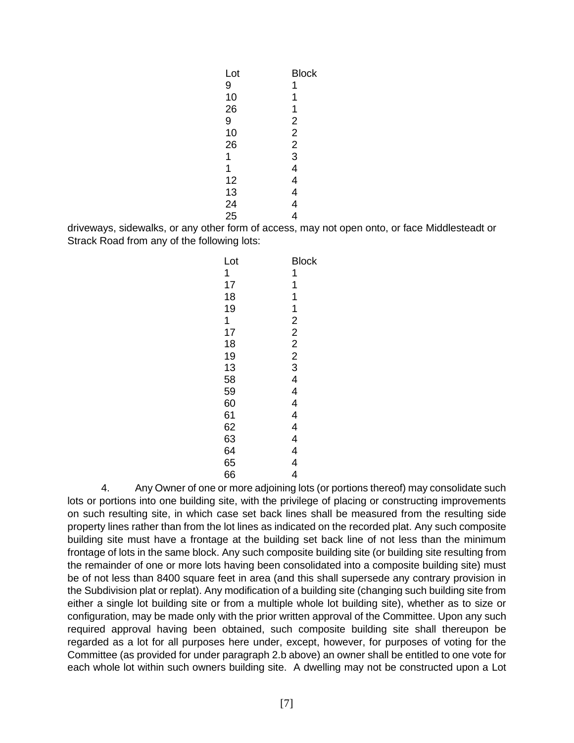| Lot | Block          |
|-----|----------------|
| 9   | 1              |
| 10  | 1              |
| 26  | 1              |
| 9   | 2              |
| 10  | $\overline{2}$ |
| 26  | $\overline{2}$ |
| 1   | 3              |
| 1   | 4              |
| 12  | 4              |
| 13  | 4              |
| 24  | 4              |
| 25  | 4              |
|     |                |

driveways, sidewalks, or any other form of access, may not open onto, or face Middlesteadt or Strack Road from any of the following lots:

| Lot | Block          |
|-----|----------------|
| 1   | 1              |
| 17  | 1              |
| 18  | 1              |
| 19  | 1              |
| 1   | $\overline{2}$ |
| 17  | $\overline{2}$ |
| 18  | $\overline{2}$ |
| 19  | $\overline{2}$ |
| 13  | 3              |
| 58  | 4              |
| 59  | 4              |
| 60  | 4              |
| 61  | 4              |
| 62  | 4              |
| 63  | 4              |
| 64  | 4              |
| 65  | 4              |
| 66  | 4              |

4. Any Owner of one or more adjoining lots (or portions thereof) may consolidate such lots or portions into one building site, with the privilege of placing or constructing improvements on such resulting site, in which case set back lines shall be measured from the resulting side property lines rather than from the lot lines as indicated on the recorded plat. Any such composite building site must have a frontage at the building set back line of not less than the minimum frontage of lots in the same block. Any such composite building site (or building site resulting from the remainder of one or more lots having been consolidated into a composite building site) must be of not less than 8400 square feet in area (and this shall supersede any contrary provision in the Subdivision plat or replat). Any modification of a building site (changing such building site from either a single lot building site or from a multiple whole lot building site), whether as to size or configuration, may be made only with the prior written approval of the Committee. Upon any such required approval having been obtained, such composite building site shall thereupon be regarded as a lot for all purposes here under, except, however, for purposes of voting for the Committee (as provided for under paragraph 2.b above) an owner shall be entitled to one vote for each whole lot within such owners building site. A dwelling may not be constructed upon a Lot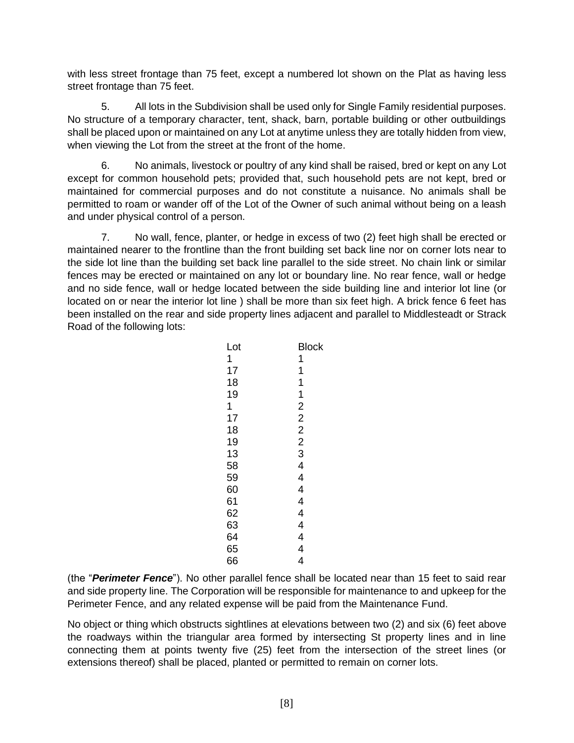with less street frontage than 75 feet, except a numbered lot shown on the Plat as having less street frontage than 75 feet.

5. All lots in the Subdivision shall be used only for Single Family residential purposes. No structure of a temporary character, tent, shack, barn, portable building or other outbuildings shall be placed upon or maintained on any Lot at anytime unless they are totally hidden from view, when viewing the Lot from the street at the front of the home.

6. No animals, livestock or poultry of any kind shall be raised, bred or kept on any Lot except for common household pets; provided that, such household pets are not kept, bred or maintained for commercial purposes and do not constitute a nuisance. No animals shall be permitted to roam or wander off of the Lot of the Owner of such animal without being on a leash and under physical control of a person.

7. No wall, fence, planter, or hedge in excess of two (2) feet high shall be erected or maintained nearer to the frontline than the front building set back line nor on corner lots near to the side lot line than the building set back line parallel to the side street. No chain link or similar fences may be erected or maintained on any lot or boundary line. No rear fence, wall or hedge and no side fence, wall or hedge located between the side building line and interior lot line (or located on or near the interior lot line ) shall be more than six feet high. A brick fence 6 feet has been installed on the rear and side property lines adjacent and parallel to Middlesteadt or Strack Road of the following lots:

| Lot | Block          |
|-----|----------------|
| 1   | 1              |
| 17  | 1              |
| 18  | 1              |
| 19  | 1              |
| 1   | $\overline{2}$ |
| 17  | $\overline{2}$ |
| 18  | $\overline{2}$ |
| 19  | $\overline{c}$ |
| 13  | 3              |
| 58  | 4              |
| 59  | 4              |
| 60  | 4              |
| 61  | 4              |
| 62  | 4              |
| 63  | 4              |
| 64  | 4              |
| 65  | 4              |
| 66  | 4              |

(the "*Perimeter Fence*"). No other parallel fence shall be located near than 15 feet to said rear and side property line. The Corporation will be responsible for maintenance to and upkeep for the Perimeter Fence, and any related expense will be paid from the Maintenance Fund.

No object or thing which obstructs sightlines at elevations between two (2) and six (6) feet above the roadways within the triangular area formed by intersecting St property lines and in line connecting them at points twenty five (25) feet from the intersection of the street lines (or extensions thereof) shall be placed, planted or permitted to remain on corner lots.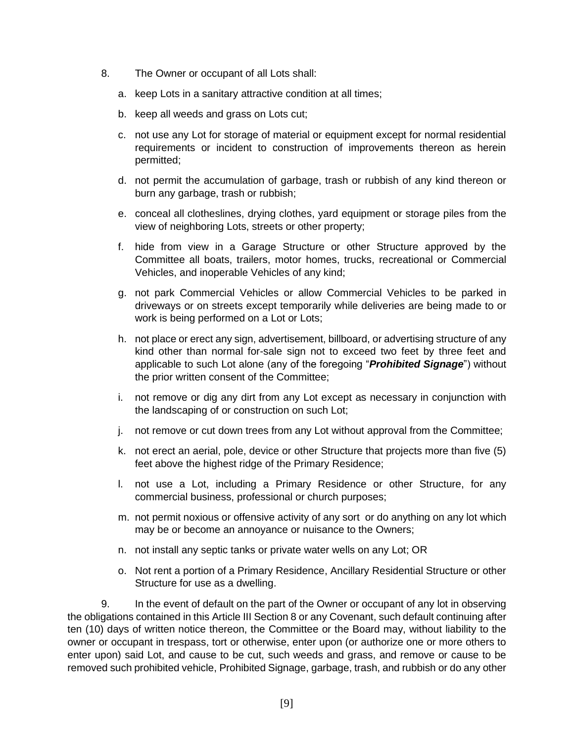- 8. The Owner or occupant of all Lots shall:
	- a. keep Lots in a sanitary attractive condition at all times;
	- b. keep all weeds and grass on Lots cut;
	- c. not use any Lot for storage of material or equipment except for normal residential requirements or incident to construction of improvements thereon as herein permitted;
	- d. not permit the accumulation of garbage, trash or rubbish of any kind thereon or burn any garbage, trash or rubbish;
	- e. conceal all clotheslines, drying clothes, yard equipment or storage piles from the view of neighboring Lots, streets or other property;
	- f. hide from view in a Garage Structure or other Structure approved by the Committee all boats, trailers, motor homes, trucks, recreational or Commercial Vehicles, and inoperable Vehicles of any kind;
	- g. not park Commercial Vehicles or allow Commercial Vehicles to be parked in driveways or on streets except temporarily while deliveries are being made to or work is being performed on a Lot or Lots;
	- h. not place or erect any sign, advertisement, billboard, or advertising structure of any kind other than normal for-sale sign not to exceed two feet by three feet and applicable to such Lot alone (any of the foregoing "*Prohibited Signage*") without the prior written consent of the Committee;
	- i. not remove or dig any dirt from any Lot except as necessary in conjunction with the landscaping of or construction on such Lot;
	- j. not remove or cut down trees from any Lot without approval from the Committee;
	- k. not erect an aerial, pole, device or other Structure that projects more than five (5) feet above the highest ridge of the Primary Residence;
	- l. not use a Lot, including a Primary Residence or other Structure, for any commercial business, professional or church purposes;
	- m. not permit noxious or offensive activity of any sort or do anything on any lot which may be or become an annoyance or nuisance to the Owners;
	- n. not install any septic tanks or private water wells on any Lot; OR
	- o. Not rent a portion of a Primary Residence, Ancillary Residential Structure or other Structure for use as a dwelling.

9. In the event of default on the part of the Owner or occupant of any lot in observing the obligations contained in this Article III Section 8 or any Covenant, such default continuing after ten (10) days of written notice thereon, the Committee or the Board may, without liability to the owner or occupant in trespass, tort or otherwise, enter upon (or authorize one or more others to enter upon) said Lot, and cause to be cut, such weeds and grass, and remove or cause to be removed such prohibited vehicle, Prohibited Signage, garbage, trash, and rubbish or do any other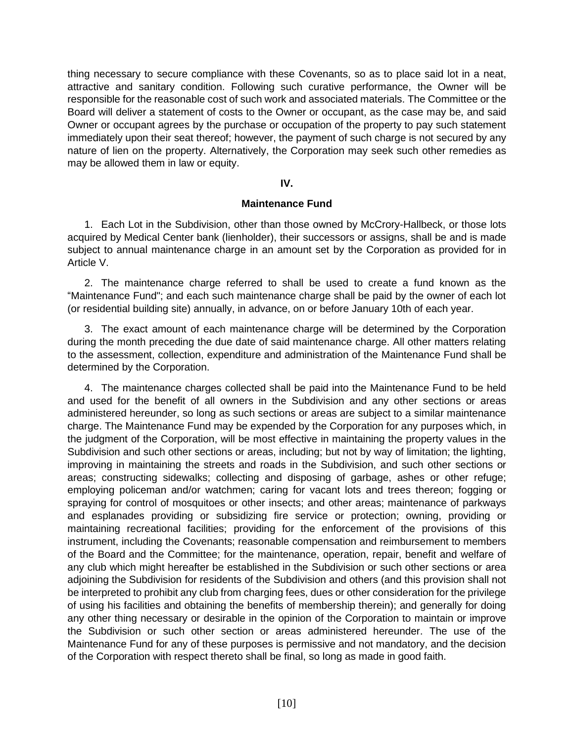thing necessary to secure compliance with these Covenants, so as to place said lot in a neat, attractive and sanitary condition. Following such curative performance, the Owner will be responsible for the reasonable cost of such work and associated materials. The Committee or the Board will deliver a statement of costs to the Owner or occupant, as the case may be, and said Owner or occupant agrees by the purchase or occupation of the property to pay such statement immediately upon their seat thereof; however, the payment of such charge is not secured by any nature of lien on the property. Alternatively, the Corporation may seek such other remedies as may be allowed them in law or equity.

# **IV.**

### **Maintenance Fund**

1. Each Lot in the Subdivision, other than those owned by McCrory-Hallbeck, or those lots acquired by Medical Center bank (lienholder), their successors or assigns, shall be and is made subject to annual maintenance charge in an amount set by the Corporation as provided for in Article V.

2. The maintenance charge referred to shall be used to create a fund known as the "Maintenance Fund"; and each such maintenance charge shall be paid by the owner of each lot (or residential building site) annually, in advance, on or before January 10th of each year.

3. The exact amount of each maintenance charge will be determined by the Corporation during the month preceding the due date of said maintenance charge. All other matters relating to the assessment, collection, expenditure and administration of the Maintenance Fund shall be determined by the Corporation.

4. The maintenance charges collected shall be paid into the Maintenance Fund to be held and used for the benefit of all owners in the Subdivision and any other sections or areas administered hereunder, so long as such sections or areas are subject to a similar maintenance charge. The Maintenance Fund may be expended by the Corporation for any purposes which, in the judgment of the Corporation, will be most effective in maintaining the property values in the Subdivision and such other sections or areas, including; but not by way of limitation; the lighting, improving in maintaining the streets and roads in the Subdivision, and such other sections or areas; constructing sidewalks; collecting and disposing of garbage, ashes or other refuge; employing policeman and/or watchmen; caring for vacant lots and trees thereon; fogging or spraying for control of mosquitoes or other insects; and other areas; maintenance of parkways and esplanades providing or subsidizing fire service or protection; owning, providing or maintaining recreational facilities; providing for the enforcement of the provisions of this instrument, including the Covenants; reasonable compensation and reimbursement to members of the Board and the Committee; for the maintenance, operation, repair, benefit and welfare of any club which might hereafter be established in the Subdivision or such other sections or area adjoining the Subdivision for residents of the Subdivision and others (and this provision shall not be interpreted to prohibit any club from charging fees, dues or other consideration for the privilege of using his facilities and obtaining the benefits of membership therein); and generally for doing any other thing necessary or desirable in the opinion of the Corporation to maintain or improve the Subdivision or such other section or areas administered hereunder. The use of the Maintenance Fund for any of these purposes is permissive and not mandatory, and the decision of the Corporation with respect thereto shall be final, so long as made in good faith.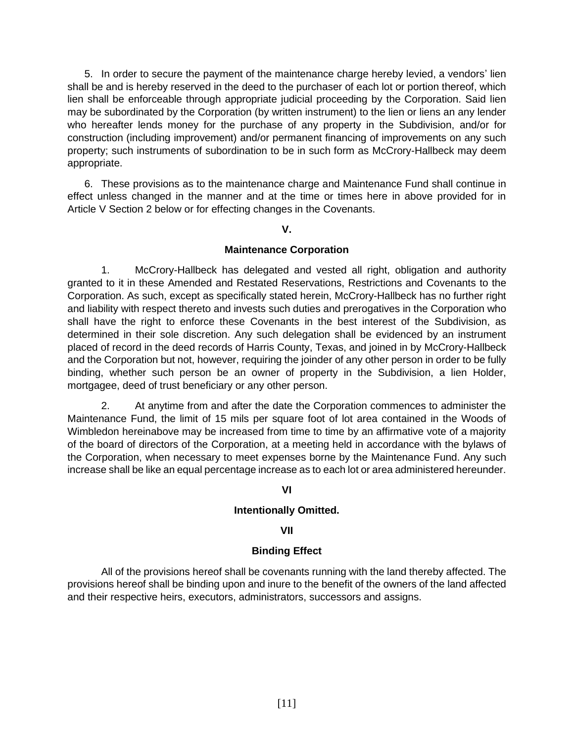5. In order to secure the payment of the maintenance charge hereby levied, a vendors' lien shall be and is hereby reserved in the deed to the purchaser of each lot or portion thereof, which lien shall be enforceable through appropriate judicial proceeding by the Corporation. Said lien may be subordinated by the Corporation (by written instrument) to the lien or liens an any lender who hereafter lends money for the purchase of any property in the Subdivision, and/or for construction (including improvement) and/or permanent financing of improvements on any such property; such instruments of subordination to be in such form as McCrory-Hallbeck may deem appropriate.

6. These provisions as to the maintenance charge and Maintenance Fund shall continue in effect unless changed in the manner and at the time or times here in above provided for in Article V Section 2 below or for effecting changes in the Covenants.

#### **V.**

# **Maintenance Corporation**

1. McCrory-Hallbeck has delegated and vested all right, obligation and authority granted to it in these Amended and Restated Reservations, Restrictions and Covenants to the Corporation. As such, except as specifically stated herein, McCrory-Hallbeck has no further right and liability with respect thereto and invests such duties and prerogatives in the Corporation who shall have the right to enforce these Covenants in the best interest of the Subdivision, as determined in their sole discretion. Any such delegation shall be evidenced by an instrument placed of record in the deed records of Harris County, Texas, and joined in by McCrory-Hallbeck and the Corporation but not, however, requiring the joinder of any other person in order to be fully binding, whether such person be an owner of property in the Subdivision, a lien Holder, mortgagee, deed of trust beneficiary or any other person.

2. At anytime from and after the date the Corporation commences to administer the Maintenance Fund, the limit of 15 mils per square foot of lot area contained in the Woods of Wimbledon hereinabove may be increased from time to time by an affirmative vote of a majority of the board of directors of the Corporation, at a meeting held in accordance with the bylaws of the Corporation, when necessary to meet expenses borne by the Maintenance Fund. Any such increase shall be like an equal percentage increase as to each lot or area administered hereunder.

# **VI**

# **Intentionally Omitted.**

# **VII**

#### **Binding Effect**

All of the provisions hereof shall be covenants running with the land thereby affected. The provisions hereof shall be binding upon and inure to the benefit of the owners of the land affected and their respective heirs, executors, administrators, successors and assigns.